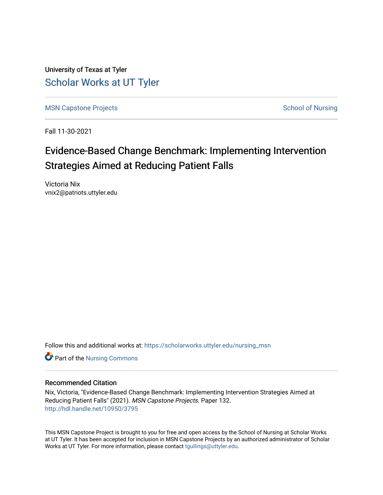University of Texas at Tyler [Scholar Works at UT Tyler](https://scholarworks.uttyler.edu/) 

[MSN Capstone Projects](https://scholarworks.uttyler.edu/nursing_msn) **School of Nursing** School of Nursing

Fall 11-30-2021

# Evidence-Based Change Benchmark: Implementing Intervention Strategies Aimed at Reducing Patient Falls

Victoria Nix vnix2@patriots.uttyler.edu

Follow this and additional works at: [https://scholarworks.uttyler.edu/nursing\\_msn](https://scholarworks.uttyler.edu/nursing_msn?utm_source=scholarworks.uttyler.edu%2Fnursing_msn%2F132&utm_medium=PDF&utm_campaign=PDFCoverPages)

**Part of the Nursing Commons** 

#### Recommended Citation

Nix, Victoria, "Evidence-Based Change Benchmark: Implementing Intervention Strategies Aimed at Reducing Patient Falls" (2021). MSN Capstone Projects. Paper 132. [http://hdl.handle.net/10950/3795](http://hdl.handle.net/10950/3795?utm_source=scholarworks.uttyler.edu%2Fnursing_msn%2F132&utm_medium=PDF&utm_campaign=PDFCoverPages) 

This MSN Capstone Project is brought to you for free and open access by the School of Nursing at Scholar Works at UT Tyler. It has been accepted for inclusion in MSN Capstone Projects by an authorized administrator of Scholar Works at UT Tyler. For more information, please contact [tgullings@uttyler.edu](mailto:tgullings@uttyler.edu).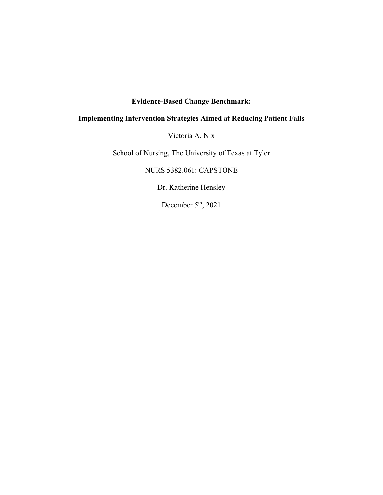## **Evidence-Based Change Benchmark:**

## **Implementing Intervention Strategies Aimed at Reducing Patient Falls**

Victoria A. Nix

School of Nursing, The University of Texas at Tyler

NURS 5382.061: CAPSTONE

Dr. Katherine Hensley

December 5<sup>th</sup>, 2021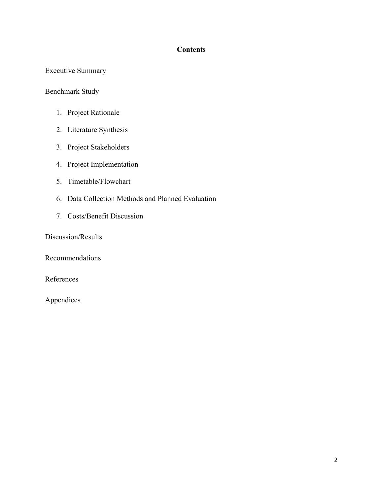## **Contents**

## Executive Summary

## Benchmark Study

- 1. Project Rationale
- 2. Literature Synthesis
- 3. Project Stakeholders
- 4. Project Implementation
- 5. Timetable/Flowchart
- 6. Data Collection Methods and Planned Evaluation
- 7. Costs/Benefit Discussion

Discussion/Results

Recommendations

References

Appendices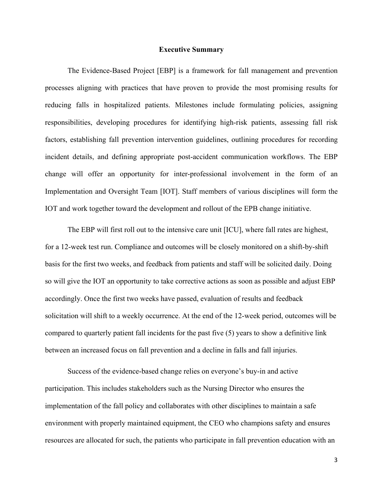#### **Executive Summary**

The Evidence-Based Project [EBP] is a framework for fall management and prevention processes aligning with practices that have proven to provide the most promising results for reducing falls in hospitalized patients. Milestones include formulating policies, assigning responsibilities, developing procedures for identifying high-risk patients, assessing fall risk factors, establishing fall prevention intervention guidelines, outlining procedures for recording incident details, and defining appropriate post-accident communication workflows. The EBP change will offer an opportunity for inter-professional involvement in the form of an Implementation and Oversight Team [IOT]. Staff members of various disciplines will form the IOT and work together toward the development and rollout of the EPB change initiative.

The EBP will first roll out to the intensive care unit [ICU], where fall rates are highest, for a 12-week test run. Compliance and outcomes will be closely monitored on a shift-by-shift basis for the first two weeks, and feedback from patients and staff will be solicited daily. Doing so will give the IOT an opportunity to take corrective actions as soon as possible and adjust EBP accordingly. Once the first two weeks have passed, evaluation of results and feedback solicitation will shift to a weekly occurrence. At the end of the 12-week period, outcomes will be compared to quarterly patient fall incidents for the past five (5) years to show a definitive link between an increased focus on fall prevention and a decline in falls and fall injuries.

Success of the evidence-based change relies on everyone's buy-in and active participation. This includes stakeholders such as the Nursing Director who ensures the implementation of the fall policy and collaborates with other disciplines to maintain a safe environment with properly maintained equipment, the CEO who champions safety and ensures resources are allocated for such, the patients who participate in fall prevention education with an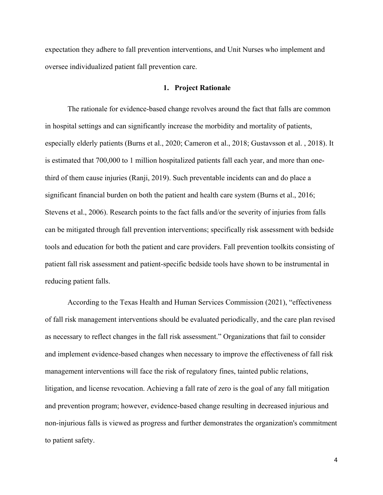expectation they adhere to fall prevention interventions, and Unit Nurses who implement and oversee individualized patient fall prevention care.

#### **1. Project Rationale**

The rationale for evidence-based change revolves around the fact that falls are common in hospital settings and can significantly increase the morbidity and mortality of patients, especially elderly patients (Burns et al., 2020; Cameron et al., 2018; Gustavsson et al. , 2018). It is estimated that 700,000 to 1 million hospitalized patients fall each year, and more than onethird of them cause injuries (Ranji, 2019). Such preventable incidents can and do place a significant financial burden on both the patient and health care system (Burns et al., 2016; Stevens et al., 2006). Research points to the fact falls and/or the severity of injuries from falls can be mitigated through fall prevention interventions; specifically risk assessment with bedside tools and education for both the patient and care providers. Fall prevention toolkits consisting of patient fall risk assessment and patient-specific bedside tools have shown to be instrumental in reducing patient falls.

According to the Texas Health and Human Services Commission (2021), "effectiveness of fall risk management interventions should be evaluated periodically, and the care plan revised as necessary to reflect changes in the fall risk assessment." Organizations that fail to consider and implement evidence-based changes when necessary to improve the effectiveness of fall risk management interventions will face the risk of regulatory fines, tainted public relations, litigation, and license revocation. Achieving a fall rate of zero is the goal of any fall mitigation and prevention program; however, evidence-based change resulting in decreased injurious and non-injurious falls is viewed as progress and further demonstrates the organization's commitment to patient safety.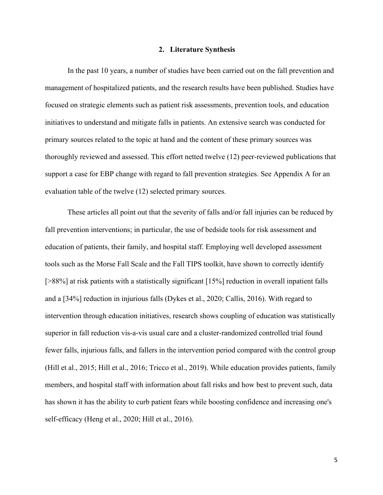#### **2. Literature Synthesis**

In the past 10 years, a number of studies have been carried out on the fall prevention and management of hospitalized patients, and the research results have been published. Studies have focused on strategic elements such as patient risk assessments, prevention tools, and education initiatives to understand and mitigate falls in patients. An extensive search was conducted for primary sources related to the topic at hand and the content of these primary sources was thoroughly reviewed and assessed. This effort netted twelve (12) peer-reviewed publications that support a case for EBP change with regard to fall prevention strategies. See Appendix A for an evaluation table of the twelve (12) selected primary sources.

These articles all point out that the severity of falls and/or fall injuries can be reduced by fall prevention interventions; in particular, the use of bedside tools for risk assessment and education of patients, their family, and hospital staff. Employing well developed assessment tools such as the Morse Fall Scale and the Fall TIPS toolkit, have shown to correctly identify [ $>88\%$ ] at risk patients with a statistically significant [15%] reduction in overall inpatient falls and a [34%] reduction in injurious falls (Dykes et al., 2020; Callis, 2016). With regard to intervention through education initiatives, research shows coupling of education was statistically superior in fall reduction vis-a-vis usual care and a cluster-randomized controlled trial found fewer falls, injurious falls, and fallers in the intervention period compared with the control group (Hill et al., 2015; Hill et al., 2016; Tricco et al., 2019). While education provides patients, family members, and hospital staff with information about fall risks and how best to prevent such, data has shown it has the ability to curb patient fears while boosting confidence and increasing one's self-efficacy (Heng et al., 2020; Hill et al., 2016).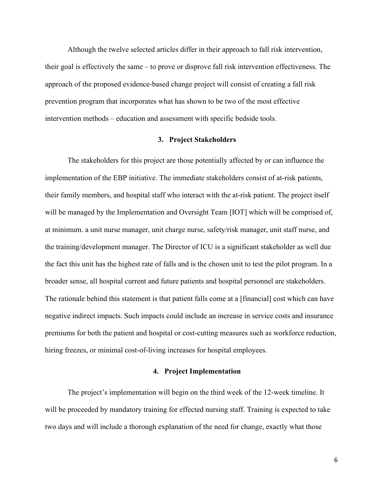Although the twelve selected articles differ in their approach to fall risk intervention, their goal is effectively the same – to prove or disprove fall risk intervention effectiveness. The approach of the proposed evidence-based change project will consist of creating a fall risk prevention program that incorporates what has shown to be two of the most effective intervention methods – education and assessment with specific bedside tools.

#### **3. Project Stakeholders**

 The stakeholders for this project are those potentially affected by or can influence the implementation of the EBP initiative. The immediate stakeholders consist of at-risk patients, their family members, and hospital staff who interact with the at-risk patient. The project itself will be managed by the Implementation and Oversight Team [IOT] which will be comprised of, at minimum. a unit nurse manager, unit charge nurse, safety/risk manager, unit staff nurse, and the training/development manager. The Director of ICU is a significant stakeholder as well due the fact this unit has the highest rate of falls and is the chosen unit to test the pilot program. In a broader sense, all hospital current and future patients and hospital personnel are stakeholders. The rationale behind this statement is that patient falls come at a [financial] cost which can have negative indirect impacts. Such impacts could include an increase in service costs and insurance premiums for both the patient and hospital or cost-cutting measures such as workforce reduction, hiring freezes, or minimal cost-of-living increases for hospital employees.

#### **4. Project Implementation**

The project's implementation will begin on the third week of the 12-week timeline. It will be proceeded by mandatory training for effected nursing staff. Training is expected to take two days and will include a thorough explanation of the need for change, exactly what those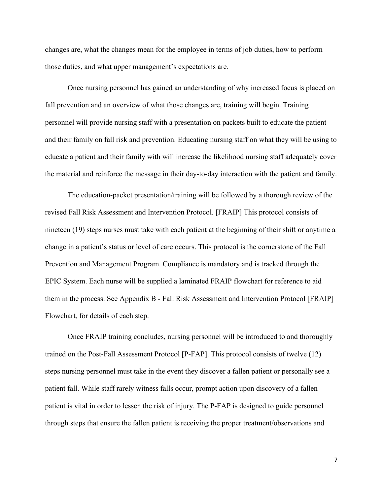changes are, what the changes mean for the employee in terms of job duties, how to perform those duties, and what upper management's expectations are.

Once nursing personnel has gained an understanding of why increased focus is placed on fall prevention and an overview of what those changes are, training will begin. Training personnel will provide nursing staff with a presentation on packets built to educate the patient and their family on fall risk and prevention. Educating nursing staff on what they will be using to educate a patient and their family with will increase the likelihood nursing staff adequately cover the material and reinforce the message in their day-to-day interaction with the patient and family.

The education-packet presentation/training will be followed by a thorough review of the revised Fall Risk Assessment and Intervention Protocol. [FRAIP] This protocol consists of nineteen (19) steps nurses must take with each patient at the beginning of their shift or anytime a change in a patient's status or level of care occurs. This protocol is the cornerstone of the Fall Prevention and Management Program. Compliance is mandatory and is tracked through the EPIC System. Each nurse will be supplied a laminated FRAIP flowchart for reference to aid them in the process. See Appendix B - Fall Risk Assessment and Intervention Protocol [FRAIP] Flowchart, for details of each step.

Once FRAIP training concludes, nursing personnel will be introduced to and thoroughly trained on the Post-Fall Assessment Protocol [P-FAP]. This protocol consists of twelve (12) steps nursing personnel must take in the event they discover a fallen patient or personally see a patient fall. While staff rarely witness falls occur, prompt action upon discovery of a fallen patient is vital in order to lessen the risk of injury. The P-FAP is designed to guide personnel through steps that ensure the fallen patient is receiving the proper treatment/observations and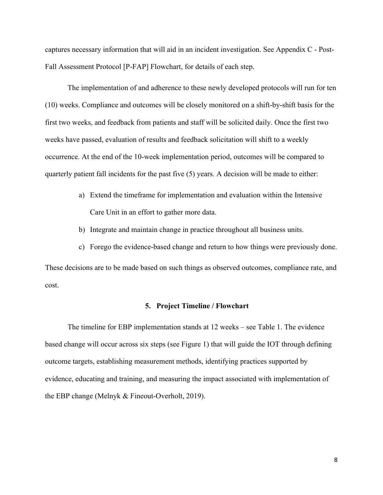captures necessary information that will aid in an incident investigation. See Appendix C - Post-Fall Assessment Protocol [P-FAP] Flowchart, for details of each step.

The implementation of and adherence to these newly developed protocols will run for ten (10) weeks. Compliance and outcomes will be closely monitored on a shift-by-shift basis for the first two weeks, and feedback from patients and staff will be solicited daily. Once the first two weeks have passed, evaluation of results and feedback solicitation will shift to a weekly occurrence. At the end of the 10-week implementation period, outcomes will be compared to quarterly patient fall incidents for the past five (5) years. A decision will be made to either:

- a) Extend the timeframe for implementation and evaluation within the Intensive Care Unit in an effort to gather more data.
- b) Integrate and maintain change in practice throughout all business units.
- c) Forego the evidence-based change and return to how things were previously done.

These decisions are to be made based on such things as observed outcomes, compliance rate, and cost.

#### **5. Project Timeline / Flowchart**

The timeline for EBP implementation stands at 12 weeks – see Table 1. The evidence based change will occur across six steps (see Figure 1) that will guide the IOT through defining outcome targets, establishing measurement methods, identifying practices supported by evidence, educating and training, and measuring the impact associated with implementation of the EBP change (Melnyk & Fineout-Overholt, 2019).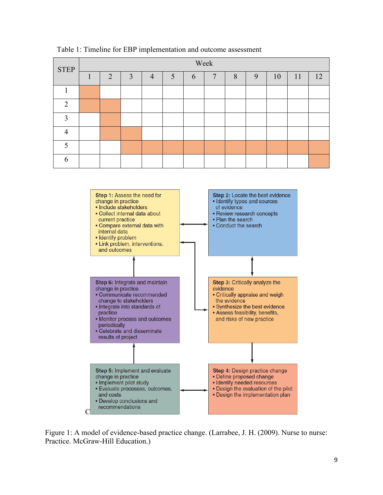| <b>STEP</b>    | Week           |                |                |   |   |                |   |   |    |    |    |
|----------------|----------------|----------------|----------------|---|---|----------------|---|---|----|----|----|
|                | $\overline{2}$ | $\overline{3}$ | $\overline{4}$ | 5 | 6 | $\overline{7}$ | 8 | 9 | 10 | 11 | 12 |
|                |                |                |                |   |   |                |   |   |    |    |    |
| 2              |                |                |                |   |   |                |   |   |    |    |    |
| 3              |                |                |                |   |   |                |   |   |    |    |    |
| $\overline{4}$ |                |                |                |   |   |                |   |   |    |    |    |
| 5              |                |                |                |   |   |                |   |   |    |    |    |
| 6              |                |                |                |   |   |                |   |   |    |    |    |

Table 1: Timeline for EBP implementation and outcome assessment



Figure 1: A model of evidence-based practice change. (Larrabee, J. H. (2009). Nurse to nurse: Practice. McGraw-Hill Education.)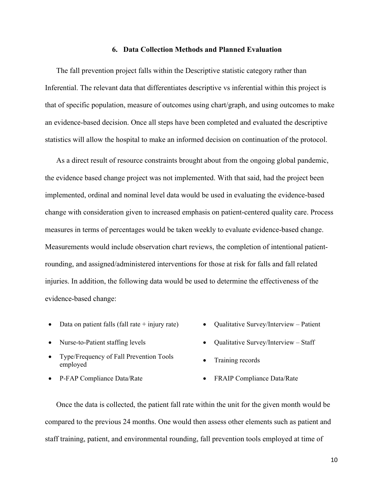#### **6. Data Collection Methods and Planned Evaluation**

The fall prevention project falls within the Descriptive statistic category rather than Inferential. The relevant data that differentiates descriptive vs inferential within this project is that of specific population, measure of outcomes using chart/graph, and using outcomes to make an evidence-based decision. Once all steps have been completed and evaluated the descriptive statistics will allow the hospital to make an informed decision on continuation of the protocol.

As a direct result of resource constraints brought about from the ongoing global pandemic, the evidence based change project was not implemented. With that said, had the project been implemented, ordinal and nominal level data would be used in evaluating the evidence-based change with consideration given to increased emphasis on patient-centered quality care. Process measures in terms of percentages would be taken weekly to evaluate evidence-based change. Measurements would include observation chart reviews, the completion of intentional patientrounding, and assigned/administered interventions for those at risk for falls and fall related injuries. In addition, the following data would be used to determine the effectiveness of the evidence-based change:

- Data on patient falls (fall rate + injury rate) Qualitative Survey/Interview Patient
- 
- Type/Frequency of Fall Prevention Tools rype/riequency of rain rievention roots • Training records employed
- 
- 
- Nurse-to-Patient staffing levels **Conserversity Qualitative Survey/Interview Staff** 
	-
- P-FAP Compliance Data/Rate <br>
FRAIP Compliance Data/Rate

Once the data is collected, the patient fall rate within the unit for the given month would be compared to the previous 24 months. One would then assess other elements such as patient and staff training, patient, and environmental rounding, fall prevention tools employed at time of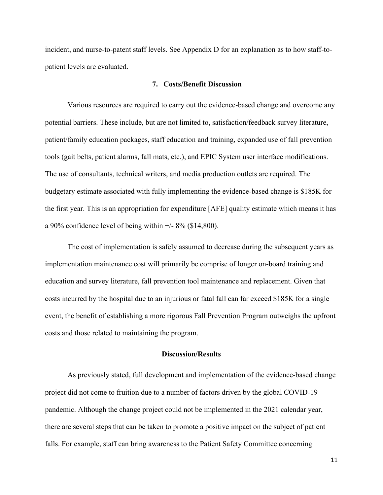incident, and nurse-to-patent staff levels. See Appendix D for an explanation as to how staff-topatient levels are evaluated.

#### **7. Costs/Benefit Discussion**

Various resources are required to carry out the evidence-based change and overcome any potential barriers. These include, but are not limited to, satisfaction/feedback survey literature, patient/family education packages, staff education and training, expanded use of fall prevention tools (gait belts, patient alarms, fall mats, etc.), and EPIC System user interface modifications. The use of consultants, technical writers, and media production outlets are required. The budgetary estimate associated with fully implementing the evidence-based change is \$185K for the first year. This is an appropriation for expenditure [AFE] quality estimate which means it has a 90% confidence level of being within  $+/- 8\%$  (\$14,800).

The cost of implementation is safely assumed to decrease during the subsequent years as implementation maintenance cost will primarily be comprise of longer on-board training and education and survey literature, fall prevention tool maintenance and replacement. Given that costs incurred by the hospital due to an injurious or fatal fall can far exceed \$185K for a single event, the benefit of establishing a more rigorous Fall Prevention Program outweighs the upfront costs and those related to maintaining the program.

#### **Discussion/Results**

As previously stated, full development and implementation of the evidence-based change project did not come to fruition due to a number of factors driven by the global COVID-19 pandemic. Although the change project could not be implemented in the 2021 calendar year, there are several steps that can be taken to promote a positive impact on the subject of patient falls. For example, staff can bring awareness to the Patient Safety Committee concerning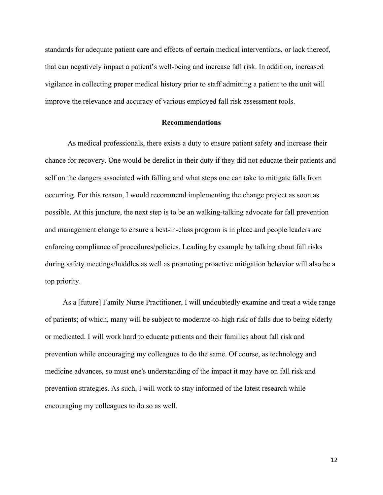standards for adequate patient care and effects of certain medical interventions, or lack thereof, that can negatively impact a patient's well-being and increase fall risk. In addition, increased vigilance in collecting proper medical history prior to staff admitting a patient to the unit will improve the relevance and accuracy of various employed fall risk assessment tools.

#### **Recommendations**

As medical professionals, there exists a duty to ensure patient safety and increase their chance for recovery. One would be derelict in their duty if they did not educate their patients and self on the dangers associated with falling and what steps one can take to mitigate falls from occurring. For this reason, I would recommend implementing the change project as soon as possible. At this juncture, the next step is to be an walking-talking advocate for fall prevention and management change to ensure a best-in-class program is in place and people leaders are enforcing compliance of procedures/policies. Leading by example by talking about fall risks during safety meetings/huddles as well as promoting proactive mitigation behavior will also be a top priority.

As a [future] Family Nurse Practitioner, I will undoubtedly examine and treat a wide range of patients; of which, many will be subject to moderate-to-high risk of falls due to being elderly or medicated. I will work hard to educate patients and their families about fall risk and prevention while encouraging my colleagues to do the same. Of course, as technology and medicine advances, so must one's understanding of the impact it may have on fall risk and prevention strategies. As such, I will work to stay informed of the latest research while encouraging my colleagues to do so as well.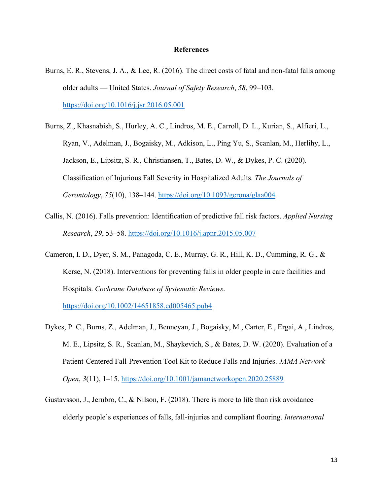#### **References**

- Burns, E. R., Stevens, J. A., & Lee, R. (2016). The direct costs of fatal and non-fatal falls among older adults — United States. *Journal of Safety Research*, *58*, 99–103. https://doi.org/10.1016/j.jsr.2016.05.001
- Burns, Z., Khasnabish, S., Hurley, A. C., Lindros, M. E., Carroll, D. L., Kurian, S., Alfieri, L., Ryan, V., Adelman, J., Bogaisky, M., Adkison, L., Ping Yu, S., Scanlan, M., Herlihy, L., Jackson, E., Lipsitz, S. R., Christiansen, T., Bates, D. W., & Dykes, P. C. (2020). Classification of Injurious Fall Severity in Hospitalized Adults. *The Journals of Gerontology*, *75*(10), 138–144. https://doi.org/10.1093/gerona/glaa004
- Callis, N. (2016). Falls prevention: Identification of predictive fall risk factors. *Applied Nursing Research*, *29*, 53–58. https://doi.org/10.1016/j.apnr.2015.05.007
- Cameron, I. D., Dyer, S. M., Panagoda, C. E., Murray, G. R., Hill, K. D., Cumming, R. G., & Kerse, N. (2018). Interventions for preventing falls in older people in care facilities and Hospitals. *Cochrane Database of Systematic Reviews*.

https://doi.org/10.1002/14651858.cd005465.pub4

- Dykes, P. C., Burns, Z., Adelman, J., Benneyan, J., Bogaisky, M., Carter, E., Ergai, A., Lindros, M. E., Lipsitz, S. R., Scanlan, M., Shaykevich, S., & Bates, D. W. (2020). Evaluation of a Patient-Centered Fall-Prevention Tool Kit to Reduce Falls and Injuries. *JAMA Network Open*, *3*(11), 1–15. https://doi.org/10.1001/jamanetworkopen.2020.25889
- Gustavsson, J., Jernbro, C., & Nilson, F. (2018). There is more to life than risk avoidance elderly people's experiences of falls, fall-injuries and compliant flooring. *International*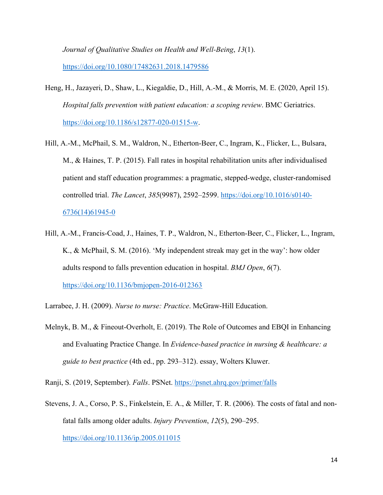*Journal of Qualitative Studies on Health and Well-Being*, *13*(1). https://doi.org/10.1080/17482631.2018.1479586

- Heng, H., Jazayeri, D., Shaw, L., Kiegaldie, D., Hill, A.-M., & Morris, M. E. (2020, April 15). *Hospital falls prevention with patient education: a scoping review*. BMC Geriatrics. https://doi.org/10.1186/s12877-020-01515-w.
- Hill, A.-M., McPhail, S. M., Waldron, N., Etherton-Beer, C., Ingram, K., Flicker, L., Bulsara, M., & Haines, T. P. (2015). Fall rates in hospital rehabilitation units after individualised patient and staff education programmes: a pragmatic, stepped-wedge, cluster-randomised controlled trial. *The Lancet*, *385*(9987), 2592–2599. https://doi.org/10.1016/s0140- 6736(14)61945-0
- Hill, A.-M., Francis-Coad, J., Haines, T. P., Waldron, N., Etherton-Beer, C., Flicker, L., Ingram, K., & McPhail, S. M. (2016). 'My independent streak may get in the way': how older adults respond to falls prevention education in hospital. *BMJ Open*, *6*(7). https://doi.org/10.1136/bmjopen-2016-012363
- Larrabee, J. H. (2009). *Nurse to nurse: Practice*. McGraw-Hill Education.
- Melnyk, B. M., & Fineout-Overholt, E. (2019). The Role of Outcomes and EBQI in Enhancing and Evaluating Practice Change. In *Evidence-based practice in nursing & healthcare: a guide to best practice* (4th ed., pp. 293–312). essay, Wolters Kluwer.
- Ranji, S. (2019, September). *Falls*. PSNet. https://psnet.ahrq.gov/primer/falls
- Stevens, J. A., Corso, P. S., Finkelstein, E. A., & Miller, T. R. (2006). The costs of fatal and nonfatal falls among older adults. *Injury Prevention*, *12*(5), 290–295. https://doi.org/10.1136/ip.2005.011015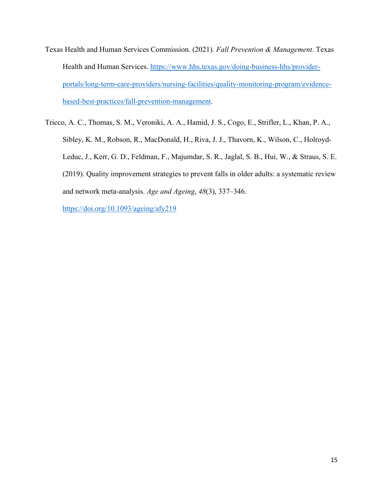- Texas Health and Human Services Commission. (2021). *Fall Prevention & Management*. Texas Health and Human Services. https://www.hhs.texas.gov/doing-business-hhs/providerportals/long-term-care-providers/nursing-facilities/quality-monitoring-program/evidencebased-best-practices/fall-prevention-management.
- Tricco, A. C., Thomas, S. M., Veroniki, A. A., Hamid, J. S., Cogo, E., Strifler, L., Khan, P. A., Sibley, K. M., Robson, R., MacDonald, H., Riva, J. J., Thavorn, K., Wilson, C., Holroyd-Leduc, J., Kerr, G. D., Feldman, F., Majumdar, S. R., Jaglal, S. B., Hui, W., & Straus, S. E. (2019). Quality improvement strategies to prevent falls in older adults: a systematic review and network meta-analysis. *Age and Ageing*, *48*(3), 337–346.

https://doi.org/10.1093/ageing/afy219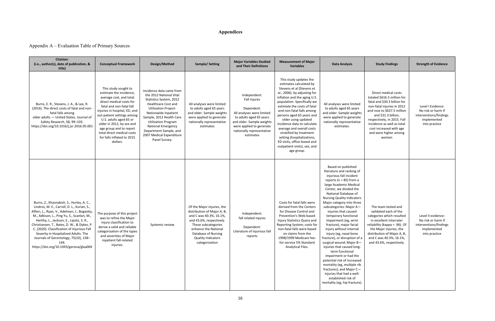## **Appendices**

## Appendix A – Evaluation Table of Primary Sources

| <b>Citation:</b><br>(i.e., author(s), date of publication, &<br>title)                                                                                                                                                                                                                                                                                                                                                                                               | <b>Conceptual Framework</b>                                                                                                                                                                                                                                                                                                                                 | Design/Method                                                                                                                                                                                                                                                                                                                     | <b>Sample/Setting</b>                                                                                                                                                                                                                 | <b>Major Variables Studied</b><br>and Their Definitions                                                                                                                                               | <b>Measurement of Major</b><br><b>Variables</b>                                                                                                                                                                                                                                                                                                                                                                                                                                                 | <b>Data Analysis</b>                                                                                                                                                                                                                                                                                                                                                                                                                                                                                                                                                                                                                                                                                                                                              | <b>Study Findings</b>                                                                                                                                                                                                                                                                             | <b>Strength of Evidence</b>                                                                        |
|----------------------------------------------------------------------------------------------------------------------------------------------------------------------------------------------------------------------------------------------------------------------------------------------------------------------------------------------------------------------------------------------------------------------------------------------------------------------|-------------------------------------------------------------------------------------------------------------------------------------------------------------------------------------------------------------------------------------------------------------------------------------------------------------------------------------------------------------|-----------------------------------------------------------------------------------------------------------------------------------------------------------------------------------------------------------------------------------------------------------------------------------------------------------------------------------|---------------------------------------------------------------------------------------------------------------------------------------------------------------------------------------------------------------------------------------|-------------------------------------------------------------------------------------------------------------------------------------------------------------------------------------------------------|-------------------------------------------------------------------------------------------------------------------------------------------------------------------------------------------------------------------------------------------------------------------------------------------------------------------------------------------------------------------------------------------------------------------------------------------------------------------------------------------------|-------------------------------------------------------------------------------------------------------------------------------------------------------------------------------------------------------------------------------------------------------------------------------------------------------------------------------------------------------------------------------------------------------------------------------------------------------------------------------------------------------------------------------------------------------------------------------------------------------------------------------------------------------------------------------------------------------------------------------------------------------------------|---------------------------------------------------------------------------------------------------------------------------------------------------------------------------------------------------------------------------------------------------------------------------------------------------|----------------------------------------------------------------------------------------------------|
| Burns, E. R., Stevens, J. A., & Lee, R.<br>(2016). The direct costs of fatal and non-<br>fatal falls among<br>older adults - United States. Journal of<br>Safety Research, 58, 99-103.<br>https://doi.org/10.1016/j.jsr.2016.05.001                                                                                                                                                                                                                                  | This study sought to<br>estimate the incidence,<br>average cost, and total<br>direct medical costs for<br>fatal and non-fatal fall<br>injuries in hospital, ED, and<br>out-patient settings among<br>U.S. adults aged 65 or<br>older in 2012, by sex and<br>age group and to report<br>total direct medical costs<br>for falls inflated to 2015<br>dollars. | Incidence data came from<br>the 2012 National Vital<br>Statistics System, 2012<br><b>Healthcare Cost and</b><br><b>Utilization Project-</b><br>Nationwide Inpatient<br>Sample, 2012 Health Care<br><b>Utilization Program</b><br><b>National Emergency</b><br>Department Sample, and<br>2007 Medical Expenditure<br>Panel Survey. | All analyses were limited<br>to adults aged 65 years<br>and older. Sample weights<br>were applied to generate<br>nationally representative<br>estimates                                                                               | Independent:<br>Fall injures<br>Dependent:<br>All analyses were limited<br>to adults aged 65 years<br>and older. Sample weights<br>were applied to generate<br>nationally representative<br>estimates | This study updates the<br>estimates calculated by<br>Stevens et al (Stevens et<br>al., 2006). by adjusting for<br>inflation and the aging U.S.<br>population. Specifically we<br>estimate the costs of fatal<br>and non-fatal falls among<br>persons aged 65 years and<br>older using updated<br>incidence data to calculate<br>average and overall costs<br>stratified by treatment<br>setting (hospitalizations,<br>ED visits, office-based and<br>outpatient visits), sex, and<br>age group. | All analyses were limited<br>to adults aged 65 years<br>and older. Sample weights<br>were applied to generate<br>nationally representative<br>estimates.                                                                                                                                                                                                                                                                                                                                                                                                                                                                                                                                                                                                          | Direct medical costs<br>totaled \$616.5 million for<br>fatal and \$30.3 billion for<br>non-fatal injuries in 2012<br>and rose to \$637.5 million<br>and \$31.3 billion,<br>respectively, in 2015. Fall<br>incidence as well as total<br>cost increased with age<br>and were higher among<br>women | Level I Evidence:<br>No risk or harm if<br>interventions/findings<br>implemented<br>into practice  |
| Burns, Z., Khasnabish, S., Hurley, A. C.,<br>Lindros, M. E., Carroll, D. L., Kurian, S.,<br>Alfieri, L., Ryan, V., Adelman, J., Bogaisky,<br>M., Adkison, L., Ping Yu, S., Scanlan, M.,<br>Herlihy, L., Jackson, E., Lipsitz, S. R.,<br>Christiansen, T., Bates, D. W., & Dykes, P<br>C. (2020). Classification of Injurious Fall<br>Severity in Hospitalized Adults. The<br>Journals of Gerontology, 75(10), 138-<br>144.<br>https://doi.org/10.1093/gerona/glaa004 | The purpose of this project<br>was to refine the Major<br>injury classification to<br>derive a valid and reliable<br>categorization of the types<br>and severities of Major<br>inpatient fall-related<br>injuries.                                                                                                                                          | Systemic review                                                                                                                                                                                                                                                                                                                   | Of the Major injuries, the<br>distribution of Major A, B,<br>and C was 40.3%, 16.1%,<br>and 43.6%, respectively.<br>These subcategories<br>enhance the National<br>Database of Nursing<br><b>Quality Indicators</b><br>categorization | Independent:<br>fall related injures<br>Dependent:<br>Literature of injurious fall<br>reports                                                                                                         | Costs for fatal falls were<br>derived from the Centers<br>for Disease Control and<br>Prevention's Web-based<br>Injury Statistics Query and<br>Reporting System; costs for<br>non-fatal falls were based<br>on claims from the<br>1998/1999 Medicare fee-<br>for-service 5% Standard<br>Analytical Files.                                                                                                                                                                                        | Based on published<br>literature and ranking of<br>injurious fall incident<br>reports ( $n = 85$ ) from a<br>large Academic Medical<br>Center, we divided the<br>National Database of<br><b>Nursing Quality Indicators</b><br>Major category into three<br>subcategories: Major A-<br>injuries that caused<br>temporary functional<br>impairment (eg, wrist<br>fracture), major facial<br>injury without internal<br>injury (eg, nasal bone<br>fracture), or disruption of a<br>surgical wound; Major B-<br>injuries that caused long-<br>term functional<br>impairment or had the<br>potential risk of increased<br>mortality (eg, multiple rib<br>fractures); and Major C-<br>injuries that had a well-<br>established risk of<br>mortality (eg, hip fracture). | The team tested and<br>validated each of the<br>categories which resulted<br>in excellent interrater<br>reliability (kappa = .96). Of<br>the Major injuries, the<br>distribution of Major A, B,<br>and C was 40.3%, 16.1%,<br>and 43.6%, respectively.                                            | Level II evidence:<br>No risk or harm if<br>interventions/findings<br>implemented<br>into practice |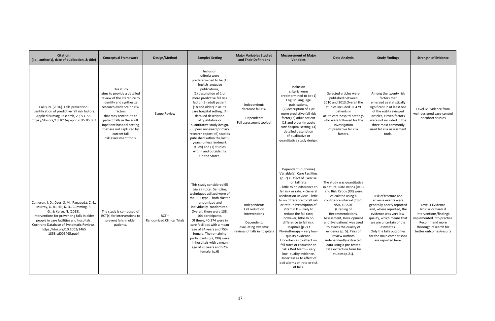| <b>Citation:</b><br>(i.e., author(s), date of publication, & title)                                                                                                                                                                                                                                              | <b>Conceptual Framework</b>                                                                                                                                                                                                                                                                            | Design/Method                         | <b>Sample/Setting</b>                                                                                                                                                                                                                                                                                                                                                                                                                                                                                           | <b>Major Variables Studied</b><br>and Their Definitions                                                               | <b>Measurement of Major</b><br><b>Variables</b>                                                                                                                                                                                                                                                                                                                                                                                                                                                                                                                                                                                           | Data Analysis                                                                                                                                                                                                                                                                                                                                                                                                                         | <b>Study Findings</b>                                                                                                                                                                                                                                                             | <b>Strength of Evidence</b>                                                                                                                                          |
|------------------------------------------------------------------------------------------------------------------------------------------------------------------------------------------------------------------------------------------------------------------------------------------------------------------|--------------------------------------------------------------------------------------------------------------------------------------------------------------------------------------------------------------------------------------------------------------------------------------------------------|---------------------------------------|-----------------------------------------------------------------------------------------------------------------------------------------------------------------------------------------------------------------------------------------------------------------------------------------------------------------------------------------------------------------------------------------------------------------------------------------------------------------------------------------------------------------|-----------------------------------------------------------------------------------------------------------------------|-------------------------------------------------------------------------------------------------------------------------------------------------------------------------------------------------------------------------------------------------------------------------------------------------------------------------------------------------------------------------------------------------------------------------------------------------------------------------------------------------------------------------------------------------------------------------------------------------------------------------------------------|---------------------------------------------------------------------------------------------------------------------------------------------------------------------------------------------------------------------------------------------------------------------------------------------------------------------------------------------------------------------------------------------------------------------------------------|-----------------------------------------------------------------------------------------------------------------------------------------------------------------------------------------------------------------------------------------------------------------------------------|----------------------------------------------------------------------------------------------------------------------------------------------------------------------|
| Callis, N. (2016). Falls prevention:<br>Identification of predictive fall risk factors.<br>Applied Nursing Research, 29, 53-58.<br>https://doi.org/10.1016/j.apnr.2015.05.007                                                                                                                                    | This study<br>aims to provide a detailed<br>review of the literature to<br>identify and synthesize<br>research evidence on risk<br>factors<br>that may contribute to<br>patient falls in the adult<br>inpatient hospital setting<br>that are not captured by<br>current fall<br>risk assessment tools. | <b>Scope Review</b>                   | Inclusion<br>criteria were<br>predetermined to be (1)<br>English language<br>publications,<br>(2) description of 1 or<br>more predictive fall risk<br>factor, (3) adult patient<br>(18 and older) in acute<br>care hospital setting, (4)<br>detailed description<br>of qualitative or<br>quantitative study design,<br>(5) peer reviewed primary<br>research report, (6) studies<br>published within the last 5<br>years (unless landmark<br>study) and (7) studies<br>within and outside the<br>United States. | Independent:<br>decrease fall risk<br>Dependent:<br>Fall assessment toolool                                           | Inclusion<br>criteria were<br>predetermined to be (1)<br>English language<br>publications,<br>(2) description of 1 or<br>more predictive fall risk<br>factor, (3) adult patient<br>(18 and older) in acute<br>care hospital setting, (4)<br>detailed description<br>of qualitative or<br>quantitative study design.                                                                                                                                                                                                                                                                                                                       | Selected articles were<br>published between<br>2010 and 2013.Overall the<br>studies included10, 479<br>patients in<br>acute care hospital settings<br>who were followed for the<br>investigation<br>of predictive fall risk<br>factors.                                                                                                                                                                                               | Among the twenty risk<br>factors that<br>emerged as statistically<br>significant in at least one<br>of the eight reviewed<br>articles, eleven factors<br>were not included in the<br>three most commonly<br>used fall risk assessment<br>tools.                                   | Level IV Evidence from<br>well-designed case-control<br>or cohort studies                                                                                            |
| Cameron, I. D., Dyer, S. M., Panagoda, C. E.,<br>Murray, G. R., Hill, K. D., Cumming, R.<br>G., & Kerse, N. (2018).<br>Interventions for preventing falls in older<br>people in care facilities and hospitals.<br>Cochrane Database of Systematic Reviews.<br>https://doi.org/10.1002/1465<br>1858.cd005465.pub4 | The study is composed of<br>RCT(s) for interventions to<br>prevent falls in older<br>patients.                                                                                                                                                                                                         | $RCT -$<br>Randomized Clinical Trials | This study considered 95<br>trials in total. Sampling<br>techniques utilized were of<br>the RCT type - both cluster<br>randomized and<br>individually-randomized.<br>Overall, there were 138,<br>164 participants.<br>Of these, 40,374 were in<br>care facilities with a mean<br>age of 84 years and 75%<br>female. The remaining<br>participants (97,790) were<br>in hospitals with a mean<br>age of 78 years and 52%<br>female. (p.6)                                                                         | Independent:<br>Fall reduction<br>interventions<br>Dependent:<br>evaluating systemic<br>reviews of falls in hospitals | Dependent (outcome)<br>Variable(s): Care Facilities<br>$(p. 7)$ • Effect of Exercise<br>on fall rate<br>- little to no difference to<br>fall risk or rate. • General<br>Medication Review - little<br>to no difference to fall risk<br>or rate. • Prescription of<br>Vitamin D - likely to<br>reduce the fall rate;<br>however, little to no<br>difference to fall risk.<br>Hospitals $(p.7)$ •<br>-Physiotherapy – very low<br>quality evidence.<br>Uncertain as to effect on<br>fall rates or reduction to<br>risk • Bed Alarm - very<br>low- quality evidence.<br>Uncertain as to effect of<br>bed alarms on rate or risk<br>of falls. | The study was quantitative<br>in nature. Rate Ratios (RaR)<br>and Risk Ratios (RR) were<br>calculated using a<br>confidence interval (CI) of<br>95%. GRADE<br>(Grading of<br>Recommendations,<br>Assessment, Development<br>and Evaluations) was used<br>to assess the quality of<br>evidence (p. 5). Pairs of<br>review authors<br>independently extracted<br>data using a pre-tested<br>data extraction form for<br>studies (p.21). | Risk of fracture and<br>adverse events were<br>generally poorly reported<br>and, where reported, the<br>evidence was very low-<br>quality, which means that<br>we are uncertain of the<br>estimates.<br>Only the falls outcomes<br>for the main comparisons<br>are reported here. | Level 1 Evidence<br>No risk or harm if<br>interventions/findings<br>implemented into practice.<br>Recommend more<br>thorough research for<br>better outcomes/results |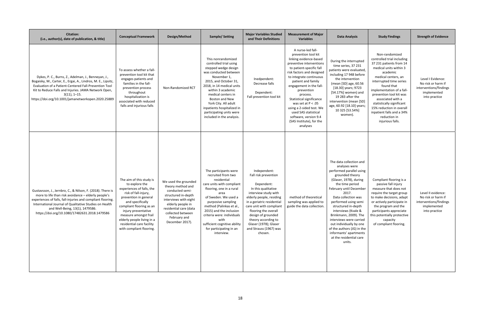| <b>Citation:</b><br>(i.e., author(s), date of publication, & title)                                                                                                                                                                                                                                                            | <b>Conceptual Framework</b>                                                                                                                                                                                                                                                                                     | Design/Method                                                                                                                                                                                                       | <b>Sample/Setting</b>                                                                                                                                                                                                                                                                                                                           | <b>Major Variables Studied</b><br>and Their Definitions                                                                                                                                                                                                                                                                    | <b>Measurement of Major</b><br><b>Variables</b>                                                                                                                                                                                                                                                                                                                                                                                        | Data Analysis                                                                                                                                                                                                                                                                                                                                                                                                                                     | <b>Study Findings</b>                                                                                                                                                                                                                                                                                                                                                                | <b>Strength of Evidence</b>                                                                        |
|--------------------------------------------------------------------------------------------------------------------------------------------------------------------------------------------------------------------------------------------------------------------------------------------------------------------------------|-----------------------------------------------------------------------------------------------------------------------------------------------------------------------------------------------------------------------------------------------------------------------------------------------------------------|---------------------------------------------------------------------------------------------------------------------------------------------------------------------------------------------------------------------|-------------------------------------------------------------------------------------------------------------------------------------------------------------------------------------------------------------------------------------------------------------------------------------------------------------------------------------------------|----------------------------------------------------------------------------------------------------------------------------------------------------------------------------------------------------------------------------------------------------------------------------------------------------------------------------|----------------------------------------------------------------------------------------------------------------------------------------------------------------------------------------------------------------------------------------------------------------------------------------------------------------------------------------------------------------------------------------------------------------------------------------|---------------------------------------------------------------------------------------------------------------------------------------------------------------------------------------------------------------------------------------------------------------------------------------------------------------------------------------------------------------------------------------------------------------------------------------------------|--------------------------------------------------------------------------------------------------------------------------------------------------------------------------------------------------------------------------------------------------------------------------------------------------------------------------------------------------------------------------------------|----------------------------------------------------------------------------------------------------|
| Dykes, P. C., Burns, Z., Adelman, J., Benneyan, J.,<br>Bogaisky, M., Carter, E., Ergai, A., Lindros, M. E., Lipsitz,<br>Evaluation of a Patient-Centered Fall-Prevention Tool<br>Kit to Reduce Falls and Injuries. JAMA Network Open,<br>$3(11), 1-15.$<br>https://doi.org/10.1001/jamanetworkopen.2020.25889                  | To assess whether a fall-<br>prevention tool kit that<br>engages patients and<br>families in the fall-<br>prevention process<br>throughout<br>hospitalization is<br>associated with reduced<br>falls and injurious falls                                                                                        | Non-Randomized RCT                                                                                                                                                                                                  | This nonrandomized<br>controlled trial using<br>stepped wedge design<br>was conducted between<br>November 1,<br>2015, and October 31,<br>2018, in 14 medical units<br>within 3 academic<br>medical centers in<br>Boston and New<br>York City. All adult<br>inpatients hospitalized in<br>participating units were<br>included in the analysis.  | Inedpendent:<br>Decrease falls<br>Dependent:<br>Fall prevention tool kit                                                                                                                                                                                                                                                   | A nurse-led fall-<br>prevention tool kit<br>linking evidence-based<br>preventive interventions<br>to patient-specific fall<br>risk factors and designed<br>to integrate continuous<br>patient and family<br>engagement in the fall-<br>prevention<br>process.<br>Statistical significance<br>was set at $P < .05$<br>using a 2-sided test. We<br>used SAS statistical<br>software, version 9.4<br>(SAS Institute), for the<br>analyses | During the interrupted<br>time series, 37 231<br>patients were evaluated,<br>including 17 948 before<br>the intervention<br>(mean [SD] age, 60.56<br>[18.30] years; 9723<br>[54.17%] women) and<br>19 283 after the<br>intervention (mean [SD]<br>age, 60.92 [18.10] years;<br>10 325 [53.54%]<br>women).                                                                                                                                         | Non-randomized<br>controlled trial including<br>37 231 patients from 14<br>medical units within 3<br>academic<br>medical centers, an<br>interrupted time series<br>found that<br>implementation of a fall-<br>prevention tool kit was<br>associated with a<br>statistically significant<br>15% reduction in overall<br>inpatient falls and a 34%<br>reduction in<br>injurious falls. | Level I Evidence:<br>No risk or harm if<br>interventions/findings<br>implemented<br>into practice  |
| Gustavsson, J., Jernbro, C., & Nilson, F. (2018). There is<br>more to life than risk avoidance - elderly people's<br>experiences of falls, fall-injuries and compliant flooring.<br>International Journal of Qualitative Studies on Health<br>and Well-Being, 13(1), 1479586.<br>https://doi.org/10.1080/17482631.2018.1479586 | The aim of this study is<br>to explore the<br>experiences of falls, the<br>risk of fall-injury,<br>prevention in general<br>and specifically<br>compliant flooring as an<br>injury preventative<br>measure amongst frail<br>elderly people living in a<br>residential care facility<br>with compliant flooring. | We used the grounded<br>theory method and<br>conducted semi-<br>structured in-depth<br>interviews with eight<br>elderly people in<br>residential care (data<br>collected between<br>February and<br>December 2017). | The participants were<br>recruited from two<br>residential<br>care units with compliant<br>flooring, one in a rural<br>area<br>of Sweden. We used a<br>purposive sampling<br>method (Palinkas et al.,<br>2015) and the inclusion<br>criteria were: individuals<br>with<br>sufficient cognitive ability<br>for participating in an<br>interview. | Independent:<br>Fall risk prevention<br>Dependent:<br>In this qualitative<br>interview study with<br>elderly people, residing<br>in a geriatric residential<br>care unit with compliant<br>flooring the overall<br>design of grounded<br>theory according to<br>Glaser (1978); Glaser<br>and Strauss (1967) was<br>chosen. | method of theoretical<br>sampling was applied to<br>guide the data collection.                                                                                                                                                                                                                                                                                                                                                         | The data collection and<br>analyses were<br>performed parallel using<br>grounded theory<br>(Glaser, 1978), during<br>the time period<br>February until December<br>2017.<br>Data collection was<br>performed using semi<br>structured in-depth<br>interviews (Kvale &<br>Brinkmann, 2009). The<br>interviews were carried<br>out individually by one<br>of the authors (JG) in the<br>informants' apartments<br>at the residential care<br>units. | Compliant flooring is a<br>passive fall injury<br>measure that does not<br>require the target group<br>to make decisions, adapt<br>or actively participate in<br>the program and the<br>participants appreciate<br>this potentially protective<br>capacity<br>of compliant flooring.                                                                                                 | Level II evidence:<br>No risk or harm if<br>interventions/findings<br>implemented<br>into practice |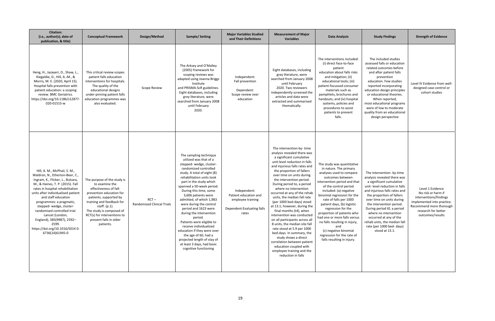| <b>Citation:</b><br>(i.e., author(s), date of<br>publication, & title)                                                                                                                                                                                                                                                                                                                                                                           | <b>Conceptual Framework</b>                                                                                                                                                                                                                                                   | Design/Method                                | <b>Sample/Setting</b>                                                                                                                                                                                                                                                                                                                                                                                                                                                                                                                                                                              | <b>Major Variables Studied</b><br>and Their Definitions                                            | <b>Measurement of Major</b><br><b>Variables</b>                                                                                                                                                                                                                                                                                                                                                                                                                                                                                                                                                                                                                                                                                                           | <b>Data Analysis</b>                                                                                                                                                                                                                                                                                                                                                                                                                                                                            | <b>Study Findings</b>                                                                                                                                                                                                                                                                                                                                                                                        | <b>Strength of Evidence</b>                                                                                                                                          |
|--------------------------------------------------------------------------------------------------------------------------------------------------------------------------------------------------------------------------------------------------------------------------------------------------------------------------------------------------------------------------------------------------------------------------------------------------|-------------------------------------------------------------------------------------------------------------------------------------------------------------------------------------------------------------------------------------------------------------------------------|----------------------------------------------|----------------------------------------------------------------------------------------------------------------------------------------------------------------------------------------------------------------------------------------------------------------------------------------------------------------------------------------------------------------------------------------------------------------------------------------------------------------------------------------------------------------------------------------------------------------------------------------------------|----------------------------------------------------------------------------------------------------|-----------------------------------------------------------------------------------------------------------------------------------------------------------------------------------------------------------------------------------------------------------------------------------------------------------------------------------------------------------------------------------------------------------------------------------------------------------------------------------------------------------------------------------------------------------------------------------------------------------------------------------------------------------------------------------------------------------------------------------------------------------|-------------------------------------------------------------------------------------------------------------------------------------------------------------------------------------------------------------------------------------------------------------------------------------------------------------------------------------------------------------------------------------------------------------------------------------------------------------------------------------------------|--------------------------------------------------------------------------------------------------------------------------------------------------------------------------------------------------------------------------------------------------------------------------------------------------------------------------------------------------------------------------------------------------------------|----------------------------------------------------------------------------------------------------------------------------------------------------------------------|
| Heng, H., Jazayeri, D., Shaw, L.,<br>Kiegaldie, D., Hill, A.-M., &<br>Morris, M. E. (2020, April 15).<br>Hospital falls prevention with<br>patient education: a scoping<br>review. BMC Geriatrics.<br>https://doi.org/10.1186/s12877<br>020-01515-w                                                                                                                                                                                              | This critical review scopes<br>patient falls education<br>interventions for hospitals.<br>The quality of the<br>educational designs<br>under-pinning patient falls<br>education programmes was<br>also evaluated.                                                             | <b>Scope Review</b>                          | The Arksey and O'Malley<br>(2005) framework for<br>scoping reviews was<br>adapted using Joanna Briggs<br>Institute<br>and PRISMA-ScR guidelines.<br>Eight databases, including<br>grey literature, were<br>searched from January 2008<br>until February<br>2020.                                                                                                                                                                                                                                                                                                                                   | Independent:<br>Fall prevention<br>Dependent:<br>Scope review over<br>education                    | Eight databases, including<br>grey literature, were<br>searched from January 2008<br>until February<br>2020. Two reviewers<br>independently screened the<br>articles and data were<br>extracted and summarised<br>thematically.                                                                                                                                                                                                                                                                                                                                                                                                                                                                                                                           | The interventions included:<br>(i) direct face-to-face<br>patient<br>education about falls risks<br>and mitigation; (ii)<br>educational tools; (iii)<br>patient-focussed consumer<br>materials such as<br>pamphlets, brochures and<br>handouts; and (iv) hospital<br>systems, policies and<br>procedures to assist<br>patients to prevent<br>falls.                                                                                                                                             | The included studies<br>assessed falls or education<br>related outcomes before<br>and after patient falls<br>prevention<br>education. Few studies<br>reported incorporating<br>education design principles<br>or educational theories.<br>When reported,<br>most educational programs<br>were of low to moderate<br>quality from an educational<br>design perspective                                        | Level IV Evidence from well-<br>designed case-control or<br>cohort studies                                                                                           |
| Hill, A. M., McPhail, S. M.,<br>Waldron, N., Etherton-Beer, C.,<br>Ingram, K., Flicker, L., Bulsara,<br>M., & Haines, T. P. (2015). Fall<br>rates in hospital rehabilitation<br>units after individualised patient<br>and staff education<br>programmes: a pragmatic,<br>stepped-wedge, cluster-<br>randomised controlled trial.<br>Lancet (London,<br>England), 385(9987), 2592-<br>2599.<br>https://doi.org/10.1016/S014 0-<br>6736(14)61945-0 | The purpose of the study is<br>to examine the<br>effectiveness of fall-<br>prevention education for<br>patients, supported by<br>training and feedback for<br>staff. (p.1).<br>The study is composed of<br>RCT(s) for interventions to<br>prevent falls in older<br>patients. | $RCT -$<br><b>Randomized Clinical Trials</b> | The sampling technique<br>utilized was that of a<br>stepped-wedge, cluster-<br>randomized controlled<br>study. A total of eight (8)<br>rehabilitation units took<br>part in the study which<br>spanned a 50-week period.<br>During this time, some<br>3,606 patients were<br>admitted, of which 1,983<br>were during the control<br>period and 1623 were<br>during the intervention<br>period.<br>Patients were eligible to<br>receive individualized<br>education if they were over<br>the age of 60, had a<br>projected length of stay of<br>at least 3 days, had basic<br>cognitive functioning | Independent:<br>Patient education and<br>employee training<br>Dependent: Evaluating falls<br>rates | The intervention-by-time<br>analysis revealed there was<br>a significant cumulative<br>unit-level reduction in falls<br>and injurious falls rates and<br>the proportion of fallers<br>over time on units during<br>the intervention period.<br>During period to, a period<br>where no intervention<br>occurred at any of the rehab<br>units, the median fall rate<br>(per 1000 bed-days) stood<br>at 13.1; however, during the<br>final months (t4), when<br>intervention was conducted<br>on all participants across all<br>8 units, the median site fall<br>rate stood at 5.9 per 1000<br>bed-days. In summary, the<br>study shows a direct<br>correlation between patient<br>education coupled with<br>employee training and the<br>reduction in falls | The study was quantitative<br>in nature. The primary<br>analyses used to compare<br>outcomes between<br>intervention period and that<br>of the control period<br>included: (a) negative<br>binomial regression for the<br>rate of falls per 1000<br>patient days, (b) logistic<br>regression for the<br>proportion of patients who<br>had one or more falls versus<br>no falls resulting in injury,<br>and<br>(c) negative binomial<br>regression for the rate of<br>falls resulting in injury. | The intervention- by-time<br>analysis revealed there was<br>a significant cumulative<br>unit-level reduction in falls<br>and injurious falls rates and<br>the proportion of fallers<br>over time on units during<br>the intervention period.<br>During period t0, a period<br>where no intervention<br>occurred at any of the<br>rehab units, the median fall<br>rate (per 1000 bed- days)<br>stood at 13.1. | Level 1 Evidence<br>No risk or harm if<br>interventions/findings<br>implemented into practice.<br>Recommend more thorough<br>research for better<br>outcomes/results |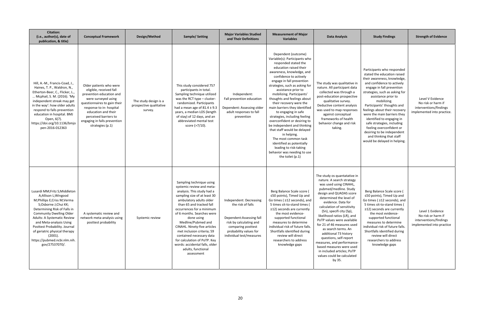| <b>Citation:</b><br>(i.e., author(s), date of<br>publication, & title)                                                                                                                                                                                                                                                                                                  | <b>Conceptual Framework</b>                                                                                                                                                                                                                                          | Design/Method                                               | <b>Sample/Setting</b>                                                                                                                                                                                                                                                                                                                                                                                                                                                     | <b>Major Variables Studied</b><br>and Their Definitions                                                                                                                          | <b>Measurement of Major</b><br><b>Variables</b>                                                                                                                                                                                                                                                                                                                                                                                                                                                                                                                                                                                                                                    | <b>Data Analysis</b>                                                                                                                                                                                                                                                                                                                                                                                                                                                                                                                                    | <b>Study Findings</b>                                                                                                                                                                                                                                                                                                                                                                                                                                                                                     | <b>Strength of Evidence</b>                                                                    |
|-------------------------------------------------------------------------------------------------------------------------------------------------------------------------------------------------------------------------------------------------------------------------------------------------------------------------------------------------------------------------|----------------------------------------------------------------------------------------------------------------------------------------------------------------------------------------------------------------------------------------------------------------------|-------------------------------------------------------------|---------------------------------------------------------------------------------------------------------------------------------------------------------------------------------------------------------------------------------------------------------------------------------------------------------------------------------------------------------------------------------------------------------------------------------------------------------------------------|----------------------------------------------------------------------------------------------------------------------------------------------------------------------------------|------------------------------------------------------------------------------------------------------------------------------------------------------------------------------------------------------------------------------------------------------------------------------------------------------------------------------------------------------------------------------------------------------------------------------------------------------------------------------------------------------------------------------------------------------------------------------------------------------------------------------------------------------------------------------------|---------------------------------------------------------------------------------------------------------------------------------------------------------------------------------------------------------------------------------------------------------------------------------------------------------------------------------------------------------------------------------------------------------------------------------------------------------------------------------------------------------------------------------------------------------|-----------------------------------------------------------------------------------------------------------------------------------------------------------------------------------------------------------------------------------------------------------------------------------------------------------------------------------------------------------------------------------------------------------------------------------------------------------------------------------------------------------|------------------------------------------------------------------------------------------------|
| Hill, A.-M., Francis-Coad, J.,<br>Haines, T. P., Waldron, N.,<br>Etherton-Beer, C., Flicker, L.,<br>Mcphail, S. M. (2016). 'My<br>independent streak may get<br>in the way': how older adults<br>respond to falls prevention<br>education in hospital. BMJ<br>Open, 6(7).<br>https://doi.org/10.1136/bmjo<br>pen-2016-012363                                            | Older patients who were<br>eligible, received fall<br>prevention education and<br>were surveyed using<br>questionnaires to gain their<br>response to in-hospital<br>education and their<br>perceived barriers to<br>engaging in falls prevention<br>strategies (p.1) | The study design is a<br>prospective qualitative<br>survey. | This study considered 757<br>participants in total.<br>Sampling technique utilized<br>was the RCT type - cluster-<br>randomized. Participants<br>had a mean age of $81.4 \pm 9.3$<br>years, a median LOS (length<br>of stay) of 12 days, and an<br>abbreviated mental test<br>score (>7/10).                                                                                                                                                                              | Independent:<br>Fall prevention education<br>Dependent: Assessing older<br>adult responses to fall<br>prevention                                                                 | Dependent (outcome)<br>Variable(s): Participants who<br>responded stated the<br>education raised their<br>awareness, knowledge, and<br>confidence to actively<br>engage in fall prevention<br>strategies, such as asking for<br>assistance prior to<br>mobilizing. Participants'<br>thoughts and feelings about<br>their recovery were the<br>main barriers they identified<br>to engaging in safe<br>strategies, including feeling<br>overconfident or desiring to<br>be independent and thinking<br>that staff would be delayed<br>in helping.<br>The most common task<br>identified as potentially<br>leading to risk-taking<br>behavior was needing to use<br>the toilet (p.1) | The study was qualitative in<br>nature. All participant data<br>collected was through a<br>post-education prospective<br>qualitative survey.<br>Deductive content analysis<br>was used to map responses<br>against conceptual<br>frameworks of health<br>behavior change and risk<br>taking.                                                                                                                                                                                                                                                            | Participants who responded<br>stated the education raised<br>their awareness, knowledge,<br>and confidence to actively<br>engage in fall prevention<br>strategies, such as asking for<br>assistance prior to<br>mobilizing.<br>Participants' thoughts and<br>feelings about their recovery<br>were the main barriers they<br>identified to engaging in<br>safe strategies, including<br>feeling overconfident or<br>desiring to be independent<br>and thinking that staff<br>would be delayed in helping. | Level V Evidence<br>No risk or harm if<br>interventions/findings<br>implemented into practice. |
| Lusardi MM; Fritz S; Middleton<br>A;Allison L;Wingood<br>M;Phillips E;Criss M;Verma<br>S;Osborne J;Chui KK;<br>Determining Risk of Falls in<br><b>Community Dwelling Older</b><br>Adults: A Systematic Review<br>and Meta-analysis Using<br>Posttest Probability. Journal<br>of geriatric physical therapy<br>(2001).<br>https://pubmed.ncbi.nlm.nih.<br>gov/27537070/. | A systematic review and<br>network meta-analysis using<br>posttest probability                                                                                                                                                                                       | Systemic review                                             | Sampling technique using<br>systemic review and meta-<br>analysis. This study had a<br>sampling size of at least 30<br>ambulatory adults older<br>than 65 and tracked fall<br>occurrences for a minimum<br>of 6 months. Searches were<br>done using<br>Medline/Pubmed and<br>CINAHL. Ninety-five articles<br>met inclusion criteria; 59<br>contained necessary data<br>for calculation of PoTP. Key<br>words: accidental falls, older<br>adults, functional<br>assessment | Independent: Decreasing<br>the risk of falls<br>Dependent: Assessing fall<br>risk by calculating and<br>comparing posttest<br>probability values for<br>individual test/measures | Berg Balance Scale score (<br>≤50 points), Timed Up and<br>Go times ( ≥12 seconds), and<br>5 times sit-to-stand times (<br>$\ge$ 12) seconds are currently<br>the most evidence-<br>supported functional<br>measures to determine<br>individual risk of future falls.<br>Shortfalls identified during<br>review will direct<br>researchers to address<br>knowledge gaps                                                                                                                                                                                                                                                                                                            | The study os quantatative in<br>nature. A search strategy<br>was used using CINAHL,<br>pubmed/medline. Study<br>design and QUADAS score<br>determined the level of<br>evidence. Data for<br>calculation of sensitivity<br>(Sn), specifi city (Sp),<br>likelihood ratios (LR), and<br>PoTP values were available<br>for 21 of 46 measures used<br>as search terms. An<br>additional 73 history<br>questions, self-report<br>measures, and performance-<br>based measures were used<br>in included articles; PoTP<br>values could be calculated<br>by 35. | Berg Balance Scale score (<br>≤50 points), Timed Up and<br>Go times ( ≥12 seconds), and<br>5 times sit-to-stand times (<br>≥12) seconds are currently<br>the most evidence-<br>supported functional<br>measures to determine<br>individual risk of future falls.<br>Shortfalls identified during<br>review will direct<br>researchers to address<br>knowledge gaps                                                                                                                                        | Level 1 Evidence<br>No risk or harm if<br>interventions/findings<br>implemented into practice  |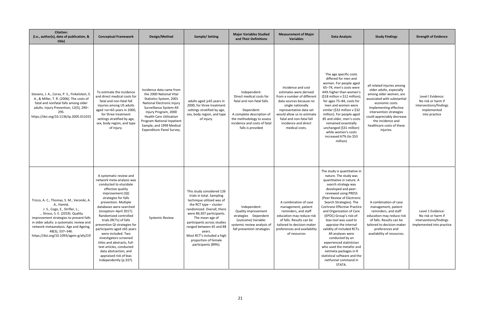| <b>Citation:</b><br>(i.e., author(s), date of publication, &<br>title)                                                                                                                                                                                                                                                   | <b>Conceptual Framework</b>                                                                                                                                                                                                                                                                                                                                                                                                                                                                                                             | Design/Method                                                                                                                                                                                                                                                                            | Sample/Setting                                                                                                                                                                                                                                                                                                                                 | <b>Major Variables Studied</b><br>and Their Definitions                                                                                                                                             | <b>Measurement of Major</b><br><b>Variables</b>                                                                                                                                                                                                           | <b>Data Analysis</b>                                                                                                                                                                                                                                                                                                                                                                                                                                                                                                                                                               |
|--------------------------------------------------------------------------------------------------------------------------------------------------------------------------------------------------------------------------------------------------------------------------------------------------------------------------|-----------------------------------------------------------------------------------------------------------------------------------------------------------------------------------------------------------------------------------------------------------------------------------------------------------------------------------------------------------------------------------------------------------------------------------------------------------------------------------------------------------------------------------------|------------------------------------------------------------------------------------------------------------------------------------------------------------------------------------------------------------------------------------------------------------------------------------------|------------------------------------------------------------------------------------------------------------------------------------------------------------------------------------------------------------------------------------------------------------------------------------------------------------------------------------------------|-----------------------------------------------------------------------------------------------------------------------------------------------------------------------------------------------------|-----------------------------------------------------------------------------------------------------------------------------------------------------------------------------------------------------------------------------------------------------------|------------------------------------------------------------------------------------------------------------------------------------------------------------------------------------------------------------------------------------------------------------------------------------------------------------------------------------------------------------------------------------------------------------------------------------------------------------------------------------------------------------------------------------------------------------------------------------|
| Stevens, J. A., Corso, P. S., Finkelstein, E.<br>A., & Miller, T. R. (2006). The costs of<br>fatal and nonfatal falls among older<br>adults. Injury Prevention, 12(5), 290-<br>295.<br>https://doi.org/10.1136/ip.2005.011015                                                                                            | To estimate the incidence<br>and direct medical costs for<br>fatal and non-fatal fall<br>injuries among US adults<br>aged > or=65 years in 2000,<br>for three treatment<br>settings stratified by age,<br>sex, body region, and type<br>of injury.                                                                                                                                                                                                                                                                                      | Incidence data came from<br>the 2000 National Vital<br>Statistics System, 2001<br>National Electronic Injury<br>Surveillance System-All<br>Injury Program, 2000<br><b>Health Care Utilization</b><br>Program National Inpatient<br>Sample, and 1999 Medical<br>Expenditure Panel Survey. | adults aged ≥65 years in<br>2000, for three treatment<br>settings stratified by age,<br>sex, body region, and type<br>of injury.                                                                                                                                                                                                               | Independent:<br>Direct medical costs for<br>fatal and non-fatal falls.<br>Dependent:<br>A complete description of<br>the methodology to assess<br>incidence and costs of fatal<br>falls is provided | Incidence and cost<br>estimates were derived<br>from a number of different<br>data sources because no<br>single nationally<br>representative data set<br>would allow us to estimate<br>fatal and non-fatal fall<br>incidence and direct<br>medical costs. | The age specific costs<br>differed for men and<br>women. For people aged<br>65-74, men's costs were<br>44% higher than women's<br>(\$18 million v \$12 million);<br>for ages 75-84, costs for<br>men and women were<br>similar (\$32 million v \$32<br>million). For people aged<br>85 and older, men's costs<br>remained essentially<br>unchanged (\$31 million)<br>while women's costs<br>increased 67% (to \$53<br>million)                                                                                                                                                     |
| Tricco, A. C., Thomas, S. M., Veroniki, A.<br>A., Hamid,<br>J. S., Cogo, E., Strifler, L.,<br>Straus, S. E. (2019). Quality<br>improvement strategies to prevent falls<br>in older adults: a systematic review and<br>network metaanalysis. Age and Ageing,<br>48(3), 337-346.<br>https://doi.org/10.1093/agein g/afy219 | A systematic review and<br>network meta-analysis was<br>conducted to elucidate<br>effective quality<br>improvement (QI)<br>strategies for falls<br>prevention. Multiple<br>databases were searched<br>(inception-April 2017).<br>Randomized controlled<br>trials (RCTs) of falls<br>prevention QI strategies for<br>participants aged ≥65 years<br>were included. Two<br>investigators screened<br>titles and abstracts, full-<br>text articles, conducted<br>data abstraction, and<br>appraised risk of bias<br>independently (p.337). | <b>Systemic Review</b>                                                                                                                                                                                                                                                                   | This study considered 126<br>trials in total. Sampling<br>technique utilized was of<br>the RCT type - cluster-<br>randomized. Overall, there<br>were 84,307 participants.<br>The mean age of<br>participants across studies<br>ranged between 65 and 88<br>years.<br>Most RCT's included a high<br>proportion of female<br>participants (89%). | Independent:<br>Quality improvement<br>strategies Dependent<br>(outcome) Variable:<br>systemic review analysis of<br>fall prevention strategies                                                     | A combination of case<br>management, patient<br>reminders, and staff<br>education may reduce risk<br>of falls. Results can be<br>tailored to decision-maker<br>preferences and availability<br>of resources                                               | The study is quantitative in<br>nature. The study was<br>quantitative in nature. A<br>search strategy was<br>developed and peer-<br>reviewed using PRESS<br>(Peer Review of Electronic<br>Search Strategies). The<br>Cochrane Effective Practice<br>and Organization of Care<br>(EPOC) Group's risk-of-<br>bias tool was used to<br>appraise the internal<br>validity of included RCTs.<br>All analyses were<br>conducted by an<br>experienced statistician<br>who used the metafor and<br>netmeta packages in R<br>statistical software and the<br>netfunnel command in<br>STATA. |

| rement of Major<br>Variables                                                                                                                                                                      | <b>Data Analysis</b>                                                                                                                                                                                                                                                                                                                                                                                                                                                                                                                                                                      | <b>Study Findings</b>                                                                                                                                                                                                                                                                | <b>Strength of Evidence</b>                                                                       |  |  |
|---------------------------------------------------------------------------------------------------------------------------------------------------------------------------------------------------|-------------------------------------------------------------------------------------------------------------------------------------------------------------------------------------------------------------------------------------------------------------------------------------------------------------------------------------------------------------------------------------------------------------------------------------------------------------------------------------------------------------------------------------------------------------------------------------------|--------------------------------------------------------------------------------------------------------------------------------------------------------------------------------------------------------------------------------------------------------------------------------------|---------------------------------------------------------------------------------------------------|--|--|
| ence and cost<br>tes were derived<br>umber of different<br>urces because no<br>gle nationally<br>entative data set<br>low us to estimate<br>nd non-fatal fall<br>ence and direct<br>edical costs. | The age specific costs<br>differed for men and<br>women. For people aged<br>65-74, men's costs were<br>44% higher than women's<br>(\$18 million v \$12 million);<br>for ages 75-84, costs for<br>men and women were<br>similar (\$32 million v \$32<br>million). For people aged<br>85 and older, men's costs<br>remained essentially<br>unchanged (\$31 million)<br>while women's costs<br>increased 67% (to \$53<br>million)                                                                                                                                                            | all related injuries among<br>older adults, especially<br>among older women, are<br>associated with substantial<br>economic costs.<br>Implementing effective<br>intervention strategies<br>could appreciably decrease<br>the incidence and<br>healthcare costs of these<br>injuries. | Level I Evidence:<br>No risk or harm if<br>interventions/findings<br>implemented<br>into practice |  |  |
| bination of case<br>gement, patient<br>nders, and staff<br>n may reduce risk<br>. Results can be<br>to decision-maker<br>ces and availability<br>f resources                                      | The study is quantitative in<br>nature. The study was<br>quantitative in nature. A<br>search strategy was<br>developed and peer-<br>reviewed using PRESS<br>(Peer Review of Electronic<br>Search Strategies). The<br><b>Cochrane Effective Practice</b><br>and Organization of Care<br>(EPOC) Group's risk-of-<br>bias tool was used to<br>appraise the internal<br>validity of included RCTs.<br>All analyses were<br>conducted by an<br>experienced statistician<br>who used the metafor and<br>netmeta packages in R<br>statistical software and the<br>netfunnel command in<br>STATA. | A combination of case<br>management, patient<br>reminders, and staff<br>education may reduce risk<br>of falls. Results can be<br>tailored to decision-maker<br>preferences and<br>availability of resources.                                                                         | Level 1 Evidence:<br>No risk or harm if<br>interventions/findings<br>implemented into practice    |  |  |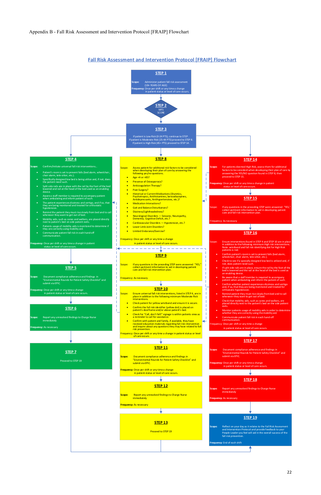### **Fall Risk Assessment and Intervention Protocol [FRAIP] Flowchart**

**v**: Once per shift or any time a change

"Environmental Rounds for Patient Safety Checklist" and





Proceed to STEP 19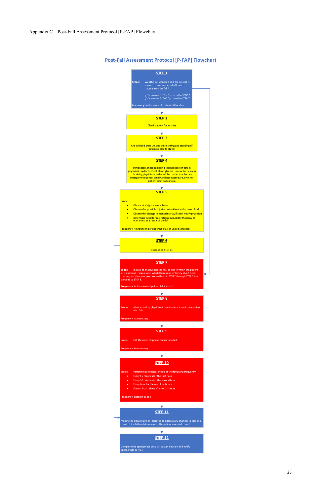## **Post‐Fall Assessment Protocol [P‐FAP] Flowchart**



**STEP 10**